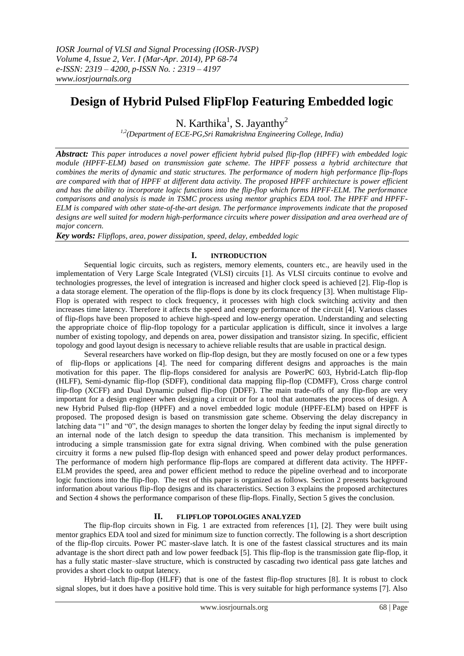# **Design of Hybrid Pulsed FlipFlop Featuring Embedded logic**

N. Karthika<sup>1</sup>, S. Jayanthy<sup>2</sup>

*1,2(Department of ECE-PG,Sri Ramakrishna Engineering College, India)*

*Abstract: This paper introduces a novel power efficient hybrid pulsed flip-flop (HPFF) with embedded logic module (HPFF-ELM) based on transmission gate scheme. The HPFF possess a hybrid architecture that combines the merits of dynamic and static structures. The performance of modern high performance flip-flops are compared with that of HPFF at different data activity. The proposed HPFF architecture is power efficient and has the ability to incorporate logic functions into the flip-flop which forms HPFF-ELM. The performance comparisons and analysis is made in TSMC process using mentor graphics EDA tool. The HPFF and HPFF-ELM is compared with other state-of-the-art design. The performance improvements indicate that the proposed designs are well suited for modern high-performance circuits where power dissipation and area overhead are of major concern.*

*Key words: Flipflops, area, power dissipation, speed, delay, embedded logic*

## **I. INTRODUCTION**

Sequential logic circuits, such as registers, memory elements, counters etc., are heavily used in the implementation of Very Large Scale Integrated (VLSI) circuits [1]. As VLSI circuits continue to evolve and technologies progresses, the level of integration is increased and higher clock speed is achieved [2]. Flip-flop is a data storage element. The operation of the flip-flops is done by its clock frequency [3]. When multistage Flip-Flop is operated with respect to clock frequency, it processes with high clock switching activity and then increases time latency. Therefore it affects the speed and energy performance of the circuit [4]. Various classes of flip-flops have been proposed to achieve high-speed and low-energy operation. Understanding and selecting the appropriate choice of flip-flop topology for a particular application is difficult, since it involves a large number of existing topology, and depends on area, power dissipation and transistor sizing. In specific, efficient topology and good layout design is necessary to achieve reliable results that are usable in practical design.

Several researchers have worked on flip-flop design, but they are mostly focused on one or a few types of flip-flops or applications [4]. The need for comparing different designs and approaches is the main motivation for this paper. The flip-flops considered for analysis are PowerPC 603, Hybrid-Latch flip-flop (HLFF), Semi-dynamic flip-flop (SDFF), conditional data mapping flip-flop (CDMFF), Cross charge control flip-flop (XCFF) and Dual Dynamic pulsed flip-flop (DDFF). The main trade-offs of any flip-flop are very important for a design engineer when designing a circuit or for a tool that automates the process of design. A new Hybrid Pulsed flip-flop (HPFF) and a novel embedded logic module (HPFF-ELM) based on HPFF is proposed. The proposed design is based on transmission gate scheme. Observing the delay discrepancy in latching data "1" and "0", the design manages to shorten the longer delay by feeding the input signal directly to an internal node of the latch design to speedup the data transition. This mechanism is implemented by introducing a simple transmission gate for extra signal driving. When combined with the pulse generation circuitry it forms a new pulsed flip-flop design with enhanced speed and power delay product performances. The performance of modern high performance flip-flops are compared at different data activity. The HPFF-ELM provides the speed, area and power efficient method to reduce the pipeline overhead and to incorporate logic functions into the flip-flop. The rest of this paper is organized as follows. Section 2 presents background information about various flip-flop designs and its characteristics. Section 3 explains the proposed architectures and Section 4 shows the performance comparison of these flip-flops. Finally, Section 5 gives the conclusion.

## **II. FLIPFLOP TOPOLOGIES ANALYZED**

The flip-flop circuits shown in Fig. 1 are extracted from references [1], [2]. They were built using mentor graphics EDA tool and sized for minimum size to function correctly. The following is a short description of the flip-flop circuits. Power PC master-slave latch. It is one of the fastest classical structures and its main advantage is the short direct path and low power feedback [5]. This flip-flop is the transmission gate flip-flop, it has a fully static master–slave structure, which is constructed by cascading two identical pass gate latches and provides a short clock to output latency.

Hybrid–latch flip-flop (HLFF) that is one of the fastest flip-flop structures [8]. It is robust to clock signal slopes, but it does have a positive hold time. This is very suitable for high performance systems [7]. Also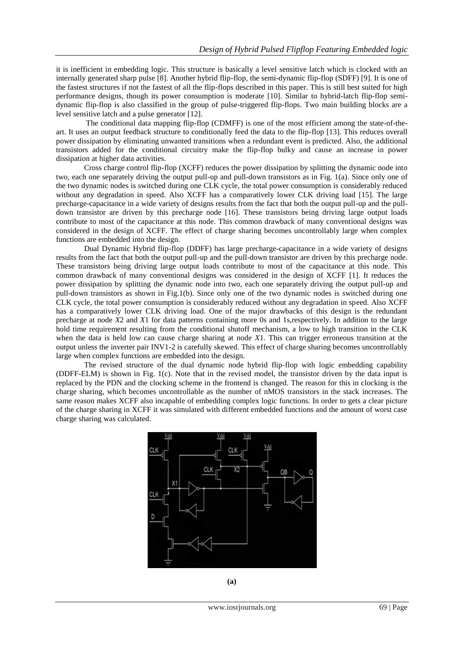it is inefficient in embedding logic. This structure is basically a level sensitive latch which is clocked with an internally generated sharp pulse [8]. Another hybrid flip-flop, the semi-dynamic flip-flop (SDFF) [9]. It is one of the fastest structures if not the fastest of all the flip-flops described in this paper. This is still best suited for high performance designs, though its power consumption is moderate [10]. Similar to hybrid-latch flip-flop semidynamic flip-flop is also classified in the group of pulse-triggered flip-flops. Two main building blocks are a level sensitive latch and a pulse generator [12].

The conditional data mapping flip-flop (CDMFF) is one of the most efficient among the state-of-theart. It uses an output feedback structure to conditionally feed the data to the flip-flop [13]. This reduces overall power dissipation by eliminating unwanted transitions when a redundant event is predicted. Also, the additional transistors added for the conditional circuitry make the flip-flop bulky and cause an increase in power dissipation at higher data activities.

Cross charge control flip-flop (XCFF) reduces the power dissipation by splitting the dynamic node into two, each one separately driving the output pull-up and pull-down transistors as in Fig. 1(a). Since only one of the two dynamic nodes is switched during one CLK cycle, the total power consumption is considerably reduced without any degradation in speed. Also XCFF has a comparatively lower CLK driving load [15]. The large precharge-capacitance in a wide variety of designs results from the fact that both the output pull-up and the pulldown transistor are driven by this precharge node [16]. These transistors being driving large output loads contribute to most of the capacitance at this node. This common drawback of many conventional designs was considered in the design of XCFF. The effect of charge sharing becomes uncontrollably large when complex functions are embedded into the design.

Dual Dynamic Hybrid flip-flop (DDFF) has large precharge-capacitance in a wide variety of designs results from the fact that both the output pull-up and the pull-down transistor are driven by this precharge node. These transistors being driving large output loads contribute to most of the capacitance at this node. This common drawback of many conventional designs was considered in the design of XCFF [1]. It reduces the power dissipation by splitting the dynamic node into two, each one separately driving the output pull-up and pull-down transistors as shown in Fig.1(b). Since only one of the two dynamic nodes is switched during one CLK cycle, the total power consumption is considerably reduced without any degradation in speed. Also XCFF has a comparatively lower CLK driving load. One of the major drawbacks of this design is the redundant precharge at node *X*2 and *X*1 for data patterns containing more 0s and 1s,respectively. In addition to the large hold time requirement resulting from the conditional shutoff mechanism, a low to high transition in the CLK when the data is held low can cause charge sharing at node *X*1. This can trigger erroneous transition at the output unless the inverter pair INV1-2 is carefully skewed. This effect of charge sharing becomes uncontrollably large when complex functions are embedded into the design.

The revised structure of the dual dynamic node hybrid flip-flop with logic embedding capability (DDFF-ELM) is shown in Fig. 1(c). Note that in the revised model, the transistor driven by the data input is replaced by the PDN and the clocking scheme in the frontend is changed. The reason for this in clocking is the charge sharing, which becomes uncontrollable as the number of nMOS transistors in the stack increases. The same reason makes XCFF also incapable of embedding complex logic functions. In order to gets a clear picture of the charge sharing in XCFF it was simulated with different embedded functions and the amount of worst case charge sharing was calculated.

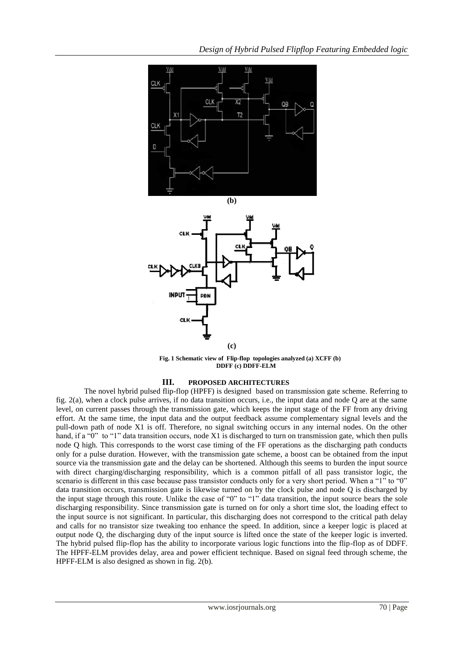



**Fig. 1 Schematic view of Flip-flop topologies analyzed (a) XCFF (b) DDFF (c) DDFF-ELM** 

#### **III. PROPOSED ARCHITECTURES**

The novel hybrid pulsed flip-flop (HPFF) is designed based on transmission gate scheme. Referring to fig. 2(a), when a clock pulse arrives, if no data transition occurs, i.e., the input data and node Q are at the same level, on current passes through the transmission gate, which keeps the input stage of the FF from any driving effort. At the same time, the input data and the output feedback assume complementary signal levels and the pull-down path of node X1 is off. Therefore, no signal switching occurs in any internal nodes. On the other hand, if a "0" to "1" data transition occurs, node X1 is discharged to turn on transmission gate, which then pulls node Q high. This corresponds to the worst case timing of the FF operations as the discharging path conducts only for a pulse duration. However, with the transmission gate scheme, a boost can be obtained from the input source via the transmission gate and the delay can be shortened. Although this seems to burden the input source with direct charging/discharging responsibility, which is a common pitfall of all pass transistor logic, the scenario is different in this case because pass transistor conducts only for a very short period. When a "1" to "0" data transition occurs, transmission gate is likewise turned on by the clock pulse and node Q is discharged by the input stage through this route. Unlike the case of "0" to "1" data transition, the input source bears the sole discharging responsibility. Since transmission gate is turned on for only a short time slot, the loading effect to the input source is not significant. In particular, this discharging does not correspond to the critical path delay and calls for no transistor size tweaking too enhance the speed. In addition, since a keeper logic is placed at output node Q, the discharging duty of the input source is lifted once the state of the keeper logic is inverted. The hybrid pulsed flip-flop has the ability to incorporate various logic functions into the flip-flop as of DDFF. The HPFF-ELM provides delay, area and power efficient technique. Based on signal feed through scheme, the HPFF-ELM is also designed as shown in fig. 2(b).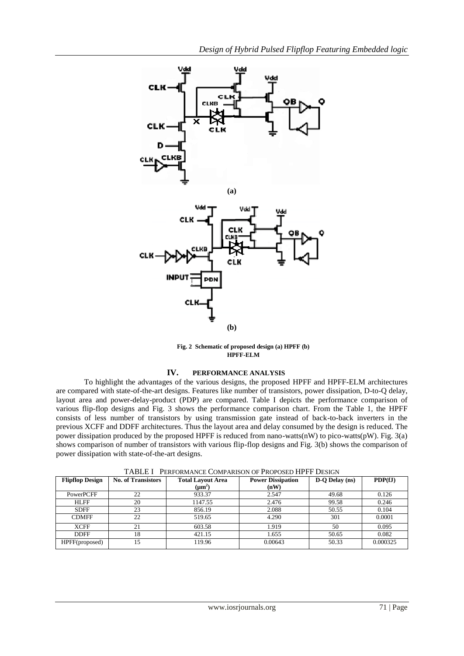

**Fig. 2 Schematic of proposed design (a) HPFF (b) HPFF-ELM**

## **IV. PERFORMANCE ANALYSIS**

To highlight the advantages of the various designs, the proposed HPFF and HPFF-ELM architectures are compared with state-of-the-art designs. Features like number of transistors, power dissipation, D-to-Q delay, layout area and power-delay-product (PDP) are compared. Table I depicts the performance comparison of various flip-flop designs and Fig. 3 shows the performance comparison chart. From the Table 1, the HPFF consists of less number of transistors by using transmission gate instead of back-to-back inverters in the previous XCFF and DDFF architectures. Thus the layout area and delay consumed by the design is reduced. The power dissipation produced by the proposed HPFF is reduced from nano-watts(nW) to pico-watts(pW). Fig. 3(a) shows comparison of number of transistors with various flip-flop designs and Fig. 3(b) shows the comparison of power dissipation with state-of-the-art designs.

| <b>Flipflop Design</b> | <b>No. of Transistors</b> | <b>Total Layout Area</b><br>$(\mu m^2)$ | <b>Power Dissipation</b><br>(nW) | D-Q Delay (ns) | PDF(fJ)  |
|------------------------|---------------------------|-----------------------------------------|----------------------------------|----------------|----------|
|                        |                           |                                         |                                  |                |          |
| PowerPCFF              | 22                        | 933.37                                  | 2.547                            | 49.68          | 0.126    |
| <b>HLFF</b>            | 20                        | 1147.55                                 | 2.476                            | 99.58          | 0.246    |
| <b>SDFF</b>            | 23                        | 856.19                                  | 2.088                            | 50.55          | 0.104    |
| <b>CDMFF</b>           | 22                        | 519.65                                  | 4.290                            | 301            | 0.0001   |
| <b>XCFF</b>            | 21                        | 603.58                                  | 1.919                            | 50             | 0.095    |
| <b>DDFF</b>            | 18                        | 421.15                                  | 1.655                            | 50.65          | 0.082    |
| HPFF(proposed)         | 15                        | 119.96                                  | 0.00643                          | 50.33          | 0.000325 |

TABLE I PERFORMANCE COMPARISON OF PROPOSED HPFF DESIGN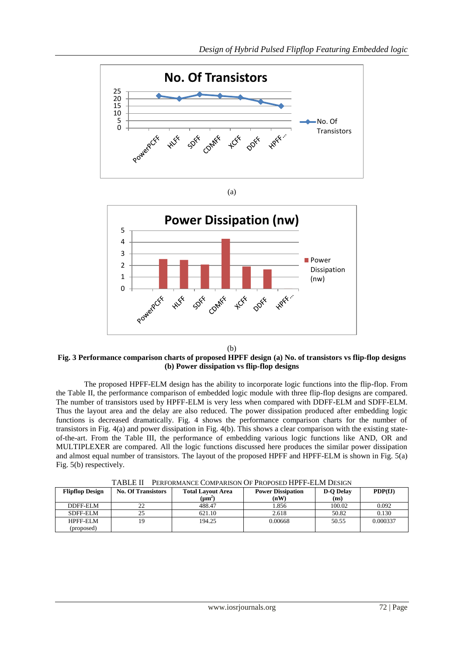



(b)

#### **Fig. 3 Performance comparison charts of proposed HPFF design (a) No. of transistors vs flip-flop designs (b) Power dissipation vs flip-flop designs**

The proposed HPFF-ELM design has the ability to incorporate logic functions into the flip-flop. From the Table II, the performance comparison of embedded logic module with three flip-flop designs are compared. The number of transistors used by HPFF-ELM is very less when compared with DDFF-ELM and SDFF-ELM. Thus the layout area and the delay are also reduced. The power dissipation produced after embedding logic functions is decreased dramatically. Fig. 4 shows the performance comparison charts for the number of transistors in Fig. 4(a) and power dissipation in Fig. 4(b). This shows a clear comparison with the existing stateof-the-art. From the Table III, the performance of embedding various logic functions like AND, OR and MULTIPLEXER are compared. All the logic functions discussed here produces the similar power dissipation and almost equal number of transistors. The layout of the proposed HPFF and HPFF-ELM is shown in Fig. 5(a) Fig. 5(b) respectively.

| <b>Flipflop Design</b> | <b>No. Of Transistors</b> | <b>Total Layout Area</b><br>$(\mu m^2)$ | <b>Power Dissipation</b><br>(nW) | <b>D-O Delay</b><br>(ns) | PDF(fJ)  |
|------------------------|---------------------------|-----------------------------------------|----------------------------------|--------------------------|----------|
| DDFF-ELM               | 22                        | 488.47                                  | 1.856                            | 100.02                   | 0.092    |
| SDFF-ELM               | 25                        | 621.10                                  | 2.618                            | 50.82                    | 0.130    |
| <b>HPFF-ELM</b>        | 19                        | 194.25                                  | 0.00668                          | 50.55                    | 0.000337 |
| (proposed)             |                           |                                         |                                  |                          |          |

TABLE II PERFORMANCE COMPARISON OF PROPOSED HPFF-ELM DESIGN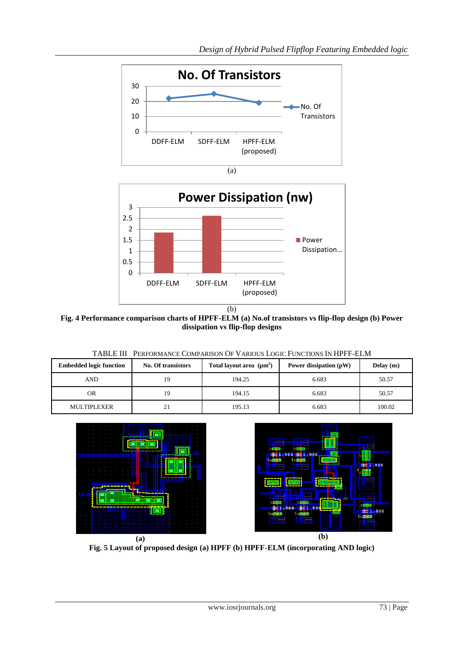



**Fig. 4 Performance comparison charts of HPFF-ELM (a) No.of transistors vs flip-flop design (b) Power dissipation vs flip-flop designs** 

|                     | TABLE III PERFORMANCE COMPARISON OF VARIOUS LOGIC FUNCTIONS IN HPFF-ELM |                               |                        |              |
|---------------------|-------------------------------------------------------------------------|-------------------------------|------------------------|--------------|
| lded logic function | No. Of transistors                                                      | Total layout area $(\mu m^2)$ | Power dissipation (pW) | <b>Delay</b> |

| <b>Embedded logic function</b> | No. Of transistors | Total layout area $(\mu m^2)$ | Power dissipation (pW) | Delay (ns) |
|--------------------------------|--------------------|-------------------------------|------------------------|------------|
| AND                            | 19                 | 194.25                        | 6.683                  | 50.57      |
| OR                             | 19                 | 194.15                        | 6.683                  | 50.57      |
| <b>MULTIPLEXER</b>             |                    | 195.13                        | 6.683                  | 100.02     |





**Fig. 5 Layout of proposed design (a) HPFF (b) HPFF-ELM (incorporating AND logic)**